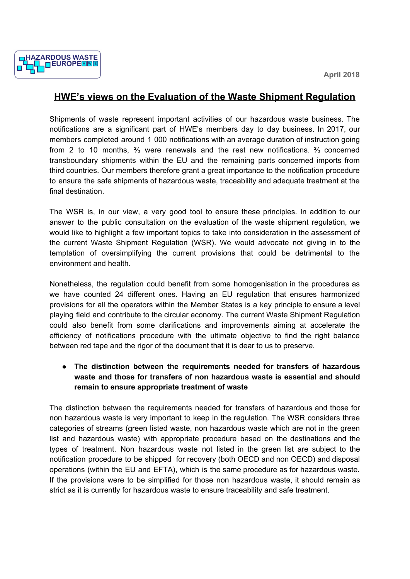

## **HWE's views on the Evaluation of the Waste Shipment Regulation**

Shipments of waste represent important activities of our hazardous waste business. The notifications are a significant part of HWE's members day to day business. In 2017, our members completed around 1 000 notifications with an average duration of instruction going from 2 to 10 months, ⅔ were renewals and the rest new notifications. ⅔ concerned transboundary shipments within the EU and the remaining parts concerned imports from third countries. Our members therefore grant a great importance to the notification procedure to ensure the safe shipments of hazardous waste, traceability and adequate treatment at the final destination.

The WSR is, in our view, a very good tool to ensure these principles. In addition to our answer to the public consultation on the evaluation of the waste shipment regulation, we would like to highlight a few important topics to take into consideration in the assessment of the current Waste Shipment Regulation (WSR). We would advocate not giving in to the temptation of oversimplifying the current provisions that could be detrimental to the environment and health.

Nonetheless, the regulation could benefit from some homogenisation in the procedures as we have counted 24 different ones. Having an EU regulation that ensures harmonized provisions for all the operators within the Member States is a key principle to ensure a level playing field and contribute to the circular economy. The current Waste Shipment Regulation could also benefit from some clarifications and improvements aiming at accelerate the efficiency of notifications procedure with the ultimate objective to find the right balance between red tape and the rigor of the document that it is dear to us to preserve.

**● The distinction between the requirements needed for transfers of hazardous waste and those for transfers of non hazardous waste is essential and should remain to ensure appropriate treatment of waste**

The distinction between the requirements needed for transfers of hazardous and those for non hazardous waste is very important to keep in the regulation. The WSR considers three categories of streams (green listed waste, non hazardous waste which are not in the green list and hazardous waste) with appropriate procedure based on the destinations and the types of treatment. Non hazardous waste not listed in the green list are subject to the notification procedure to be shipped for recovery (both OECD and non OECD) and disposal operations (within the EU and EFTA), which is the same procedure as for hazardous waste. If the provisions were to be simplified for those non hazardous waste, it should remain as strict as it is currently for hazardous waste to ensure traceability and safe treatment.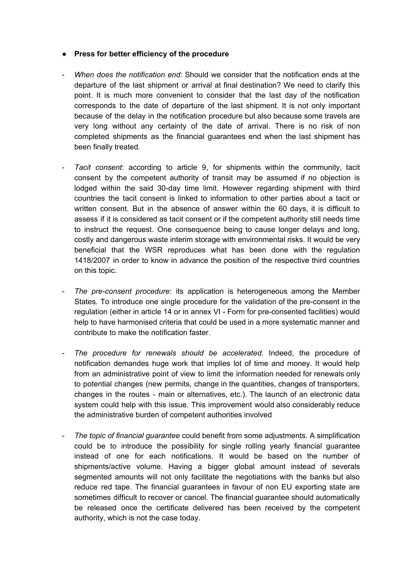## ● **Press for better efficiency of the procedure**

- *When does the notification end*: Should we consider that the notification ends at the departure of the last shipment or arrival at final destination? We need to clarify this point. It is much more convenient to consider that the last day of the notification corresponds to the date of departure of the last shipment. It is not only important because of the delay in the notification procedure but also because some travels are very long without any certainty of the date of arrival. There is no risk of non completed shipments as the financial guarantees end when the last shipment has been finally treated.
- *Tacit consent*: according to article 9, for shipments within the community, tacit consent by the competent authority of transit may be assumed if no objection is lodged within the said 30-day time limit. However regarding shipment with third countries the tacit consent is linked to information to other parties about a tacit or written consent. But in the absence of answer within the 60 days, it is difficult to assess if it is considered as tacit consent or if the competent authority still needs time to instruct the request. One consequence being to cause longer delays and long, costly and dangerous waste interim storage with environmental risks. It would be very beneficial that the WSR reproduces what has been done with the regulation 1418/2007 in order to know in advance the position of the respective third countries on this topic.
- *The pre-consent procedure*: its application is heterogeneous among the Member States. To introduce one single procedure for the validation of the pre-consent in the regulation (either in article 14 or in annex VI - Form for pre-consented facilities) would help to have harmonised criteria that could be used in a more systematic manner and contribute to make the notification faster.
- *The procedure for renewals should be accelerated*. Indeed, the procedure of notification demandes huge work that implies lot of time and money. It would help from an administrative point of view to limit the information needed for renewals only to potential changes (new permits, change in the quantities, changes of transporters, changes in the routes - main or alternatives, etc.). The launch of an electronic data system could help with this issue. This improvement would also considerably reduce the administrative burden of competent authorities involved
- *The topic of financial guarantee* could benefit from some adjustments. A simplification could be to introduce the possibility for single rolling yearly financial guarantee instead of one for each notifications. It would be based on the number of shipments/active volume. Having a bigger global amount instead of severals segmented amounts will not only facilitate the negotiations with the banks but also reduce red tape. The financial guarantees in favour of non EU exporting state are sometimes difficult to recover or cancel. The financial guarantee should automatically be released once the certificate delivered has been received by the competent authority, which is not the case today.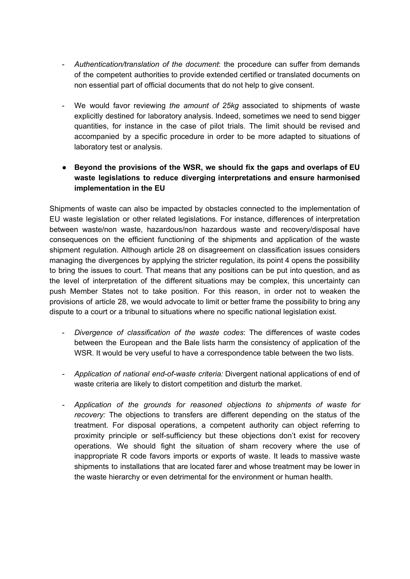- *Authentication/translation of the document*: the procedure can suffer from demands of the competent authorities to provide extended certified or translated documents on non essential part of official documents that do not help to give consent.
- We would favor reviewing *the amount of 25kg* associated to shipments of waste explicitly destined for laboratory analysis. Indeed, sometimes we need to send bigger quantities, for instance in the case of pilot trials. The limit should be revised and accompanied by a specific procedure in order to be more adapted to situations of laboratory test or analysis.
- **● Beyond the provisions of the WSR, we should fix the gaps and overlaps of EU waste legislations to reduce diverging interpretations and ensure harmonised implementation in the EU**

Shipments of waste can also be impacted by obstacles connected to the implementation of EU waste legislation or other related legislations. For instance, differences of interpretation between waste/non waste, hazardous/non hazardous waste and recovery/disposal have consequences on the efficient functioning of the shipments and application of the waste shipment regulation. Although article 28 on disagreement on classification issues considers managing the divergences by applying the stricter regulation, its point 4 opens the possibility to bring the issues to court. That means that any positions can be put into question, and as the level of interpretation of the different situations may be complex, this uncertainty can push Member States not to take position. For this reason, in order not to weaken the provisions of article 28, we would advocate to limit or better frame the possibility to bring any dispute to a court or a tribunal to situations where no specific national legislation exist.

- *Divergence of classification of the waste codes*: The differences of waste codes between the European and the Bale lists harm the consistency of application of the WSR. It would be very useful to have a correspondence table between the two lists.
- *- Application of national end-of-waste criteria:* Divergent national applications of end of waste criteria are likely to distort competition and disturb the market.
- *- Application of the grounds for reasoned objections to shipments of waste for recovery:* The objections to transfers are different depending on the status of the treatment. For disposal operations, a competent authority can object referring to proximity principle or self-sufficiency but these objections don't exist for recovery operations. We should fight the situation of sham recovery where the use of inappropriate R code favors imports or exports of waste. It leads to massive waste shipments to installations that are located farer and whose treatment may be lower in the waste hierarchy or even detrimental for the environment or human health.